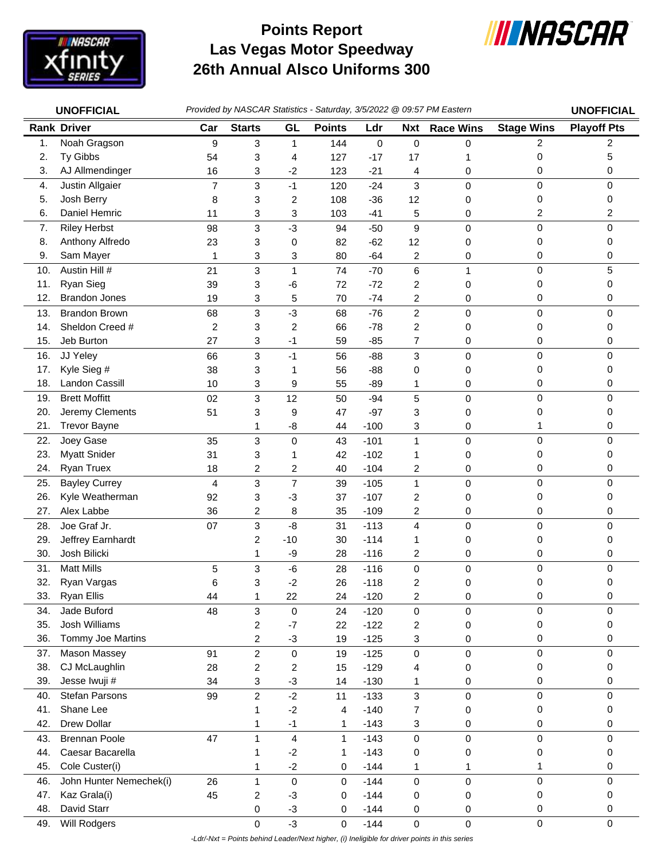

## **Las Vegas Motor Speedway 26th Annual Alsco Uniforms 300 Points Report**



|     | <b>UNOFFICIAL</b>       |                |                |                         |               |        |                         | Provided by NASCAR Statistics - Saturday, 3/5/2022 @ 09:57 PM Eastern |                   | <b>UNOFFICIAL</b>  |
|-----|-------------------------|----------------|----------------|-------------------------|---------------|--------|-------------------------|-----------------------------------------------------------------------|-------------------|--------------------|
|     | <b>Rank Driver</b>      | Car            | <b>Starts</b>  | GL                      | <b>Points</b> | Ldr    | <b>Nxt</b>              | <b>Race Wins</b>                                                      | <b>Stage Wins</b> | <b>Playoff Pts</b> |
| 1.  | Noah Gragson            | 9              | 3              | 1                       | 144           | 0      | 0                       | 0                                                                     | 2                 | 2                  |
| 2.  | Ty Gibbs                | 54             | 3              | 4                       | 127           | $-17$  | 17                      | 1                                                                     | 0                 | 5                  |
| 3.  | AJ Allmendinger         | 16             | 3              | $-2$                    | 123           | $-21$  | 4                       | 0                                                                     | 0                 | 0                  |
| 4.  | Justin Allgaier         | $\overline{7}$ | 3              | $-1$                    | 120           | $-24$  | 3                       | 0                                                                     | 0                 | 0                  |
| 5.  | Josh Berry              | 8              | 3              | 2                       | 108           | $-36$  | 12                      | 0                                                                     | 0                 | 0                  |
| 6.  | Daniel Hemric           | 11             | 3              | 3                       | 103           | $-41$  | 5                       | 0                                                                     | 2                 | 2                  |
| 7.  | <b>Riley Herbst</b>     | 98             | 3              | $-3$                    | 94            | $-50$  | $\boldsymbol{9}$        | 0                                                                     | $\mathsf 0$       | 0                  |
| 8.  | Anthony Alfredo         | 23             | 3              | 0                       | 82            | $-62$  | 12                      | 0                                                                     | 0                 | 0                  |
| 9.  | Sam Mayer               | 1              | 3              | 3                       | 80            | $-64$  | 2                       | 0                                                                     | 0                 | 0                  |
| 10. | Austin Hill #           | 21             | 3              | 1                       | 74            | $-70$  | 6                       | 1                                                                     | 0                 | 5                  |
| 11. | Ryan Sieg               | 39             | 3              | $-6$                    | 72            | $-72$  | 2                       | 0                                                                     | 0                 | 0                  |
| 12. | <b>Brandon Jones</b>    | 19             | 3              | 5                       | 70            | $-74$  | 2                       | 0                                                                     | 0                 | 0                  |
| 13. | <b>Brandon Brown</b>    | 68             | 3              | $-3$                    | 68            | $-76$  | $\overline{\mathbf{c}}$ | $\mathbf 0$                                                           | 0                 | 0                  |
| 14. | Sheldon Creed #         | 2              | 3              | 2                       | 66            | $-78$  | 2                       | 0                                                                     | 0                 | 0                  |
| 15. | Jeb Burton              | 27             | 3              | $-1$                    | 59            | $-85$  | 7                       | 0                                                                     | 0                 | 0                  |
| 16. | JJ Yeley                | 66             | 3              | $-1$                    | 56            | $-88$  | 3                       | $\mathbf 0$                                                           | 0                 | 0                  |
| 17. | Kyle Sieg #             | 38             | 3              | 1                       | 56            | $-88$  | 0                       | 0                                                                     | 0                 | 0                  |
| 18. | Landon Cassill          | 10             | 3              | 9                       | 55            | $-89$  | 1                       | 0                                                                     | 0                 | 0                  |
| 19. | <b>Brett Moffitt</b>    | 02             | 3              | 12                      | 50            | $-94$  | $\sqrt{5}$              | 0                                                                     | 0                 | 0                  |
| 20. | Jeremy Clements         | 51             | 3              | 9                       | 47            | $-97$  | 3                       | 0                                                                     | 0                 | 0                  |
| 21. | <b>Trevor Bayne</b>     |                | 1              | -8                      | 44            | $-100$ | 3                       | 0                                                                     | 1                 | 0                  |
| 22. | Joey Gase               | 35             | 3              | $\mathbf 0$             | 43            | $-101$ | 1                       | 0                                                                     | 0                 | 0                  |
| 23. | <b>Myatt Snider</b>     | 31             | 3              | 1                       | 42            | $-102$ | 1                       | 0                                                                     | 0                 | 0                  |
| 24. | <b>Ryan Truex</b>       | 18             | 2              | 2                       | 40            | $-104$ | 2                       | 0                                                                     | 0                 | 0                  |
| 25. | <b>Bayley Currey</b>    | 4              | 3              | $\overline{7}$          | 39            | $-105$ | 1                       | 0                                                                     | 0                 | 0                  |
| 26. | Kyle Weatherman         | 92             | 3              | $-3$                    | 37            | $-107$ | 2                       | 0                                                                     | 0                 | 0                  |
| 27. | Alex Labbe              | 36             | $\overline{c}$ | 8                       | 35            | $-109$ | 2                       | 0                                                                     | 0                 | 0                  |
| 28. | Joe Graf Jr.            | 07             | 3              | $-8$                    | 31            | $-113$ | 4                       | 0                                                                     | 0                 | 0                  |
| 29. | Jeffrey Earnhardt       |                | 2              | $-10$                   | 30            | $-114$ | 1                       | 0                                                                     | 0                 | 0                  |
| 30. | Josh Bilicki            |                | 1              | -9                      | 28            | $-116$ | 2                       | 0                                                                     | 0                 | 0                  |
| 31. | <b>Matt Mills</b>       | 5              | 3              | $-6$                    | 28            | $-116$ | 0                       | 0                                                                     | 0                 | 0                  |
| 32. | Ryan Vargas             | 6              | 3              | $-2$                    | 26            | $-118$ | 2                       | 0                                                                     | 0                 | 0                  |
| 33. | <b>Ryan Ellis</b>       | 44             | $\mathbf{1}$   | 22                      | 24            | $-120$ | $\overline{c}$          | 0                                                                     | 0                 | 0                  |
| 34. | Jade Buford             | 48             | 3              | $\pmb{0}$               | 24            | $-120$ | $\pmb{0}$               | 0                                                                     | 0                 | 0                  |
| 35. | Josh Williams           |                | 2              | $-7$                    | 22            | $-122$ | 2                       | 0                                                                     | 0                 | 0                  |
| 36. | Tommy Joe Martins       |                | $\overline{c}$ | $-3$                    | 19            | $-125$ | 3                       | 0                                                                     | 0                 | 0                  |
| 37. | Mason Massey            | 91             | $\overline{c}$ | 0                       | 19            | $-125$ | $\mathbf 0$             | 0                                                                     | 0                 | 0                  |
| 38. | CJ McLaughlin           | 28             | 2              | 2                       | 15            | $-129$ | 4                       | 0                                                                     | 0                 | 0                  |
| 39. | Jesse Iwuji #           | 34             | 3              | $-3$                    | 14            | $-130$ | 1                       | 0                                                                     | 0                 | 0                  |
| 40. | Stefan Parsons          | 99             | $\overline{c}$ | $-2$                    | 11            | $-133$ | 3                       | 0                                                                     | $\mathbf 0$       | 0                  |
| 41. | Shane Lee               |                | 1              | $-2$                    | 4             | $-140$ | 7                       | 0                                                                     | 0                 | 0                  |
| 42. | Drew Dollar             |                | 1              | $-1$                    | 1             | $-143$ | 3                       | 0                                                                     | 0                 | 0                  |
| 43. | <b>Brennan Poole</b>    | 47             | $\mathbf{1}$   | $\overline{\mathbf{4}}$ | $\mathbf{1}$  | $-143$ | $\mathbf 0$             | 0                                                                     | 0                 | 0                  |
| 44. | Caesar Bacarella        |                | $\mathbf{1}$   | $-2$                    | 1             | $-143$ | 0                       | 0                                                                     | 0                 | 0                  |
| 45. | Cole Custer(i)          |                | 1              | $-2$                    | 0             | $-144$ | 1                       | 1                                                                     | 1                 | 0                  |
| 46. | John Hunter Nemechek(i) | 26             | $\mathbf{1}$   | $\mathbf 0$             | 0             | $-144$ | $\mathbf 0$             | 0                                                                     | 0                 | 0                  |
| 47. | Kaz Grala(i)            | 45             | 2              | $-3$                    | 0             | $-144$ | 0                       | 0                                                                     | 0                 | 0                  |
| 48. | David Starr             |                | 0              | $-3$                    | 0             | $-144$ | 0                       | 0                                                                     | 0                 | 0                  |
| 49. | Will Rodgers            |                | 0              | $-3$                    | 0             | $-144$ | $\pmb{0}$               | $\mathsf 0$                                                           | $\mathsf 0$       | 0                  |

 *-Ldr/-Nxt = Points behind Leader/Next higher, (i) Ineligible for driver points in this series*